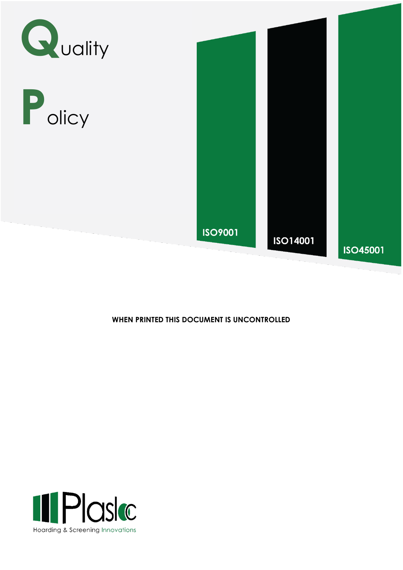





## WHEN PRINTED THIS DOCUMENT IS UNCONTROLLED